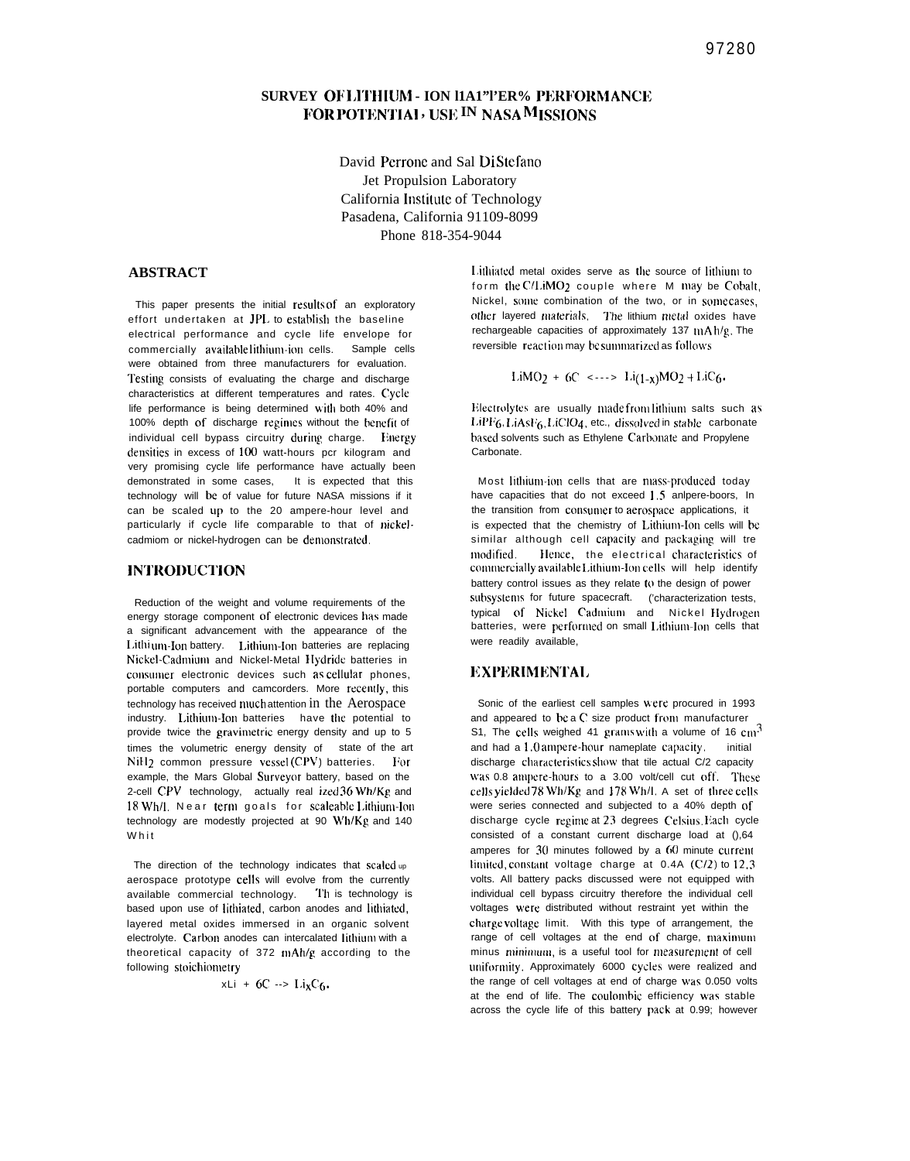# SURVEY OF LITHIUM - ION 11A1"PER% PERFORMANCE FOR POTENTIAL, USE IN NASA MISSIONS

David Perrone and Sal DiStefano Jet Propulsion Laboratory California Institute of Technology Pasadena. California 91109-8099 Phone 818-354-9044

# **ABSTRACT**

This paper presents the initial results of an exploratory effort undertaken at JPL to establish the baseline electrical performance and cycle life envelope for commercially available lithium-ion cells. Sample cells were obtained from three manufacturers for evaluation. Testing consists of evaluating the charge and discharge characteristics at different temperatures and rates. Cycle life performance is being determined with both 40% and 100% depth of discharge regimes without the benefit of individual cell bypass circuitry during charge. Energy densities in excess of 100 watt-hours pcr kilogram and very promising cycle life performance have actually been demonstrated in some cases, It is expected that this technology will be of value for future NASA missions if it can be scaled up to the 20 ampere-hour level and particularly if cycle life comparable to that of nickelcadmiom or nickel-hydrogen can be demonstrated.

### **INTRODUCTION**

Reduction of the weight and volume requirements of the energy storage component of electronic devices has made a significant advancement with the appearance of the Lithium-Ion battery. Lithium-Ion batteries are replacing Nickel-Cadmium and Nickel-Metal Hydride batteries in consumer electronic devices such as cellular phones, portable computers and camcorders. More recently, this technology has received much attention in the Aerospace industry. Lithium-Ion batteries have the potential to provide twice the gravimetric energy density and up to 5 times the volumetric energy density of state of the art NiH<sub>2</sub> common pressure vessel (CPV) batteries. For example, the Mars Global Surveyor battery, based on the 2-cell CPV technology, actually real ized 36 Wh/Kg and 18 Wh/l. Near term goals for scaleable Lithium-Ion technology are modestly projected at 90 Wh/Kg and 140 Whit

The direction of the technology indicates that scaled up aerospace prototype cells will evolve from the currently available commercial technology. Th is technology is based upon use of lithiated, carbon anodes and lithiated, layered metal oxides immersed in an organic solvent electrolyte. Carbon anodes can intercalated lithium with a theoretical capacity of 372 mAh/g according to the following stoichiometry

$$
xLi + 6C \rightarrow Li_{x}C_{6}.
$$

Lithiated metal oxides serve as the source of lithium to form the C/LiMO2 couple where M may be Cobalt, Nickel, some combination of the two, or in somecases, other layered materials. The lithium metal oxides have rechargeable capacities of approximately 137  $\mu$ A  $h/g$ , The reversible reaction may be summarized as follows

LiMO<sub>2</sub> + 6C <---> Li<sub>(1-x)</sub>MO<sub>2</sub> + LiC<sub>6</sub>.

Electrolytes are usually made from lithium salts such as LIPF6.LIAsF6.LICIO4, etc., dissolved in stable carbonate based solvents such as Ethylene Carbonate and Propylene Carbonate

Most lithium-ion cells that are mass-produced today have capacities that do not exceed 1.5 anlpere-boors, In the transition from consumer to aerospace applications, it is expected that the chemistry of Lithium-Ion cells will be similar although cell capacity and packaging will tre modified. Hence, the electrical characteristics of commercially available Lithium-Ion cells will help identify battery control issues as they relate to the design of power subsystems for future spacecraft. ('characterization tests, typical of Nickel Cadmium and Nickel Hydrogen batteries, were performed on small Lithium-Ion cells that were readily available,

## **EXPERIMENTAL**

Sonic of the earliest cell samples were procured in 1993 and appeared to bc a C size product from manufacturer S1, The cells weighed 41 grams with a volume of 16  $cm<sup>3</sup>$ and had a 1.0 ampere-hour nameplate capacity, initial discharge characteristics show that tile actual C/2 capacity was 0.8 ampere-hours to a 3.00 volt/cell cut off. These cells yielded 78 Wh/Kg and 178 Wh/l. A set of three cells were series connected and subjected to a 40% depth of discharge cycle regime at 23 degrees Celsius Each cycle consisted of a constant current discharge load at (),64 amperes for  $30$  minutes followed by a  $60$  minute current limited constant voltage charge at  $0.4A$  (C/2) to 12.3 volts. All battery packs discussed were not equipped with individual cell bypass circuitry therefore the individual cell voltages were distributed without restraint yet within the charge voltage limit. With this type of arrangement, the range of cell voltages at the end of charge, maximum minus minimum, is a useful tool for measurement of cell uniformity. Approximately 6000 cycles were realized and the range of cell voltages at end of charge was 0.050 volts at the end of life. The coulombic efficiency was stable across the cycle life of this battery pack at 0.99; however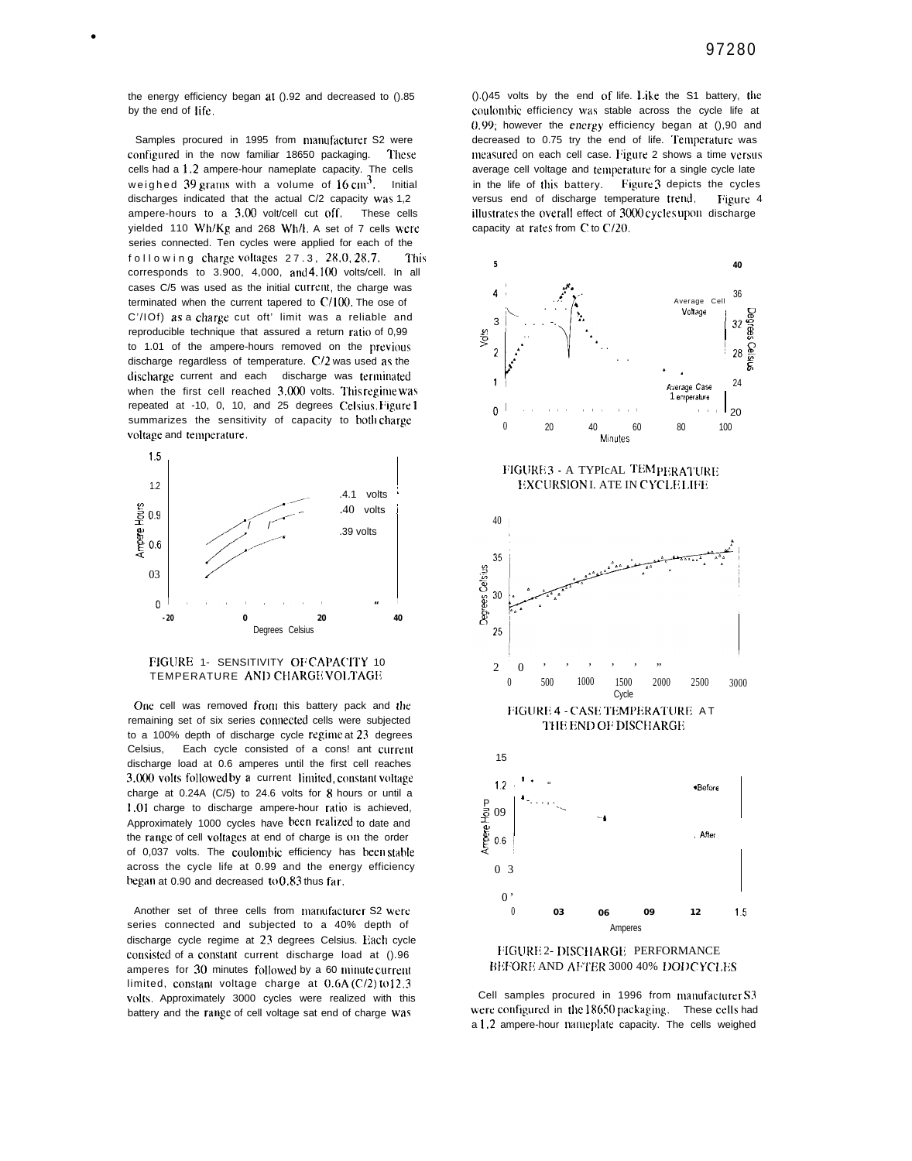the energy efficiency began at ().92 and decreased to ().85 by the end of life.

Samples procured in 1995 from manufacturer S2 were configured in the now familiar 18650 packaging. **These** cells had a 1.2 ampere-hour nameplate capacity. The cells weighed 39 grams with a volume of  $16 \text{ cm}^3$ . Initial discharges indicated that the actual C/2 capacity was 1,2 ampere-hours to a 3.00 volt/cell cut off. These cells yielded 110 Wh/Kg and 268 Wh/l. A set of 7 cells were series connected. Ten cycles were applied for each of the following charge voltages 27.3, 28.0, 28.7. This corresponds to 3.900, 4,000, and 4.100 volts/cell. In all cases C/5 was used as the initial current, the charge was terminated when the current tapered to  $C/100$ . The ose of C'/IOf) as a charge cut oft' limit was a reliable and reproducible technique that assured a return ratio of 0,99 to 1.01 of the ampere-hours removed on the previous discharge regardless of temperature. C/2 was used as the discharge current and each discharge was terminated when the first cell reached 3.000 volts. This regime was repeated at -10, 0, 10, and 25 degrees Celsius. Figure 1 summarizes the sensitivity of capacity to both charge voltage and temperature.



#### FIGURE 1- SENSITIVITY OF CAPACITY 10 TEMPERATURE AND CHARGE VOLTAGE

One cell was removed from this battery pack and the remaining set of six series connected cells were subjected to a 100% depth of discharge cycle regime at 23 degrees Celsius, Each cycle consisted of a cons! ant current discharge load at 0.6 amperes until the first cell reaches 3.000 volts followed by a current limited, constant voltage charge at 0.24A (C/5) to 24.6 volts for  $8$  hours or until a 1.01 charge to discharge ampere-hour ratio is achieved, Approximately 1000 cycles have been realized to date and the range of cell voltages at end of charge is 011 the order of 0.037 volts. The coulombic efficiency has been stable across the cycle life at 0.99 and the energy efficiency began at 0.90 and decreased to  $0.83$  thus far.

Another set of three cells from manufacturer S2 were series connected and subjected to a 40% depth of discharge cycle regime at 23 degrees Celsius. Each cycle consisted of a constant current discharge load at ().96 amperes for 30 minutes followed by a 60 minute current limited, constant voltage charge at  $0.6A$  (C/2) to 12.3 volts. Approximately 3000 cycles were realized with this battery and the range of cell voltage sat end of charge was

().()45 volts by the end of life. Like the S1 battery, the coulombic efficiency was stable across the cycle life at  $0.99$ ; however the energy efficiency began at  $( )$ , 90 and decreased to 0.75 try the end of life. Temperature was measured on each cell case. Figure 2 shows a time versus average cell voltage and temperature for a single cycle late in the life of this battery. Figure 3 depicts the cycles versus end of discharge temperature trend. Figure 4 illustrates the overall effect of 3000 cycles upon discharge capacity at rates from C to C/20.



FIGURE 3 - A TYPICAL TEMPERATURE EXCURSION I. ATE IN CYCLELIFE



BEFORE AND AFTER 3000 40% DODCYCLES

Cell samples procured in 1996 from manufacturer S3 were configured in the 18650 packaging. These cells had a 1.2 ampere-hour nameplate capacity. The cells weighed